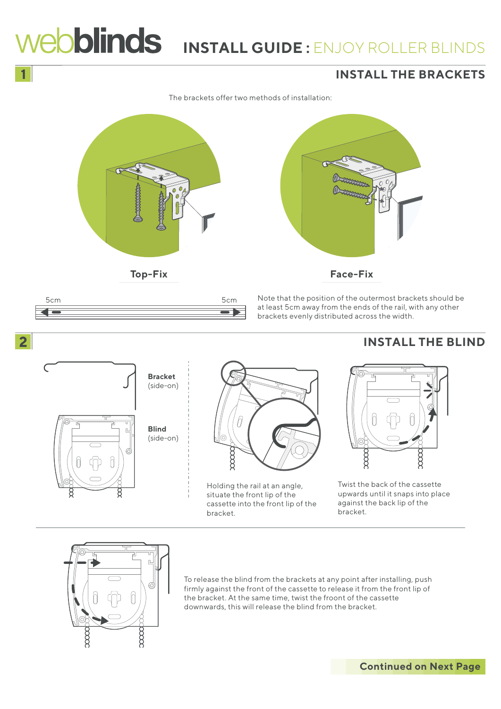



To release the blind from the brackets at any point after installing, push firmly against the front of the cassette to release it from the front lip of the bracket. At the same time, twist the froont of the cassette downwards, this will release the blind from the bracket.